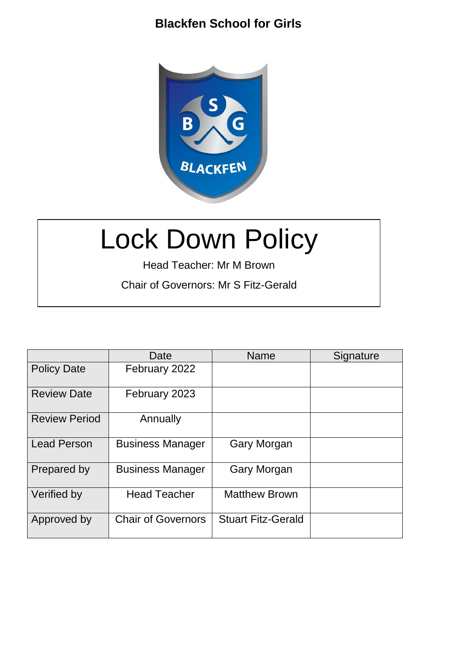

# Lock Down Policy

Head Teacher: Mr M Brown Chair of Governors: Mr S Fitz-Gerald

|                      | Date                      | Name                      | Signature |
|----------------------|---------------------------|---------------------------|-----------|
| <b>Policy Date</b>   | February 2022             |                           |           |
| <b>Review Date</b>   | February 2023             |                           |           |
| <b>Review Period</b> | Annually                  |                           |           |
| <b>Lead Person</b>   | <b>Business Manager</b>   | Gary Morgan               |           |
| Prepared by          | <b>Business Manager</b>   | <b>Gary Morgan</b>        |           |
| Verified by          | <b>Head Teacher</b>       | <b>Matthew Brown</b>      |           |
| Approved by          | <b>Chair of Governors</b> | <b>Stuart Fitz-Gerald</b> |           |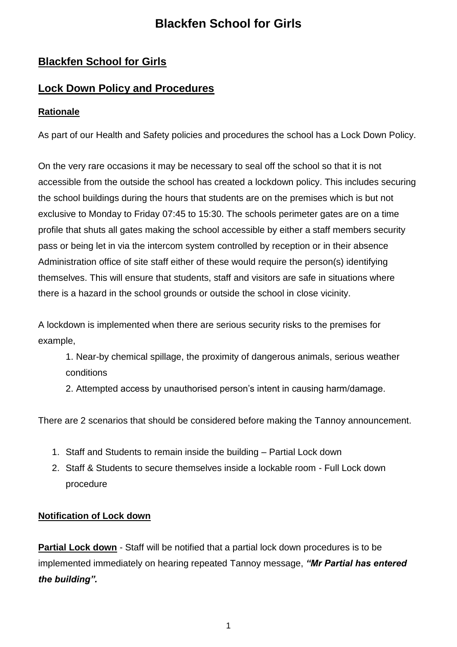## **Blackfen School for Girls**

## **Lock Down Policy and Procedures**

## **Rationale**

As part of our Health and Safety policies and procedures the school has a Lock Down Policy.

On the very rare occasions it may be necessary to seal off the school so that it is not accessible from the outside the school has created a lockdown policy. This includes securing the school buildings during the hours that students are on the premises which is but not exclusive to Monday to Friday 07:45 to 15:30. The schools perimeter gates are on a time profile that shuts all gates making the school accessible by either a staff members security pass or being let in via the intercom system controlled by reception or in their absence Administration office of site staff either of these would require the person(s) identifying themselves. This will ensure that students, staff and visitors are safe in situations where there is a hazard in the school grounds or outside the school in close vicinity.

A lockdown is implemented when there are serious security risks to the premises for example,

- 1. Near-by chemical spillage, the proximity of dangerous animals, serious weather conditions
- 2. Attempted access by unauthorised person's intent in causing harm/damage.

There are 2 scenarios that should be considered before making the Tannoy announcement.

- 1. Staff and Students to remain inside the building Partial Lock down
- 2. Staff & Students to secure themselves inside a lockable room Full Lock down procedure

#### **Notification of Lock down**

**Partial Lock down** - Staff will be notified that a partial lock down procedures is to be implemented immediately on hearing repeated Tannoy message, *"Mr Partial has entered the building".*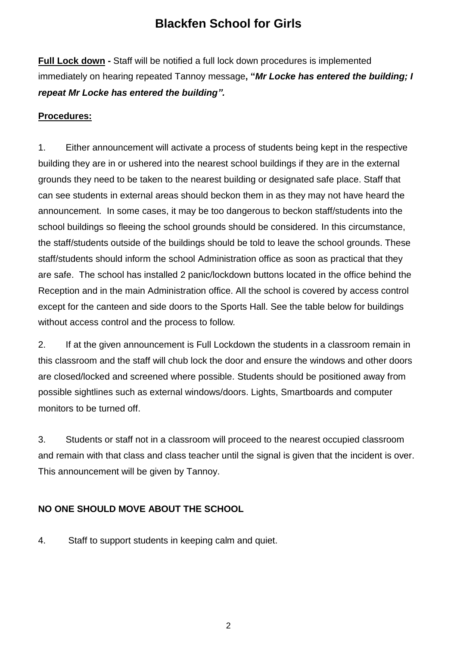**Full Lock down -** Staff will be notified a full lock down procedures is implemented immediately on hearing repeated Tannoy message**, "***Mr Locke has entered the building; I repeat Mr Locke has entered the building".* 

#### **Procedures:**

1. Either announcement will activate a process of students being kept in the respective building they are in or ushered into the nearest school buildings if they are in the external grounds they need to be taken to the nearest building or designated safe place. Staff that can see students in external areas should beckon them in as they may not have heard the announcement. In some cases, it may be too dangerous to beckon staff/students into the school buildings so fleeing the school grounds should be considered. In this circumstance, the staff/students outside of the buildings should be told to leave the school grounds. These staff/students should inform the school Administration office as soon as practical that they are safe. The school has installed 2 panic/lockdown buttons located in the office behind the Reception and in the main Administration office. All the school is covered by access control except for the canteen and side doors to the Sports Hall. See the table below for buildings without access control and the process to follow*.*

2. If at the given announcement is Full Lockdown the students in a classroom remain in this classroom and the staff will chub lock the door and ensure the windows and other doors are closed/locked and screened where possible. Students should be positioned away from possible sightlines such as external windows/doors. Lights, Smartboards and computer monitors to be turned off.

3. Students or staff not in a classroom will proceed to the nearest occupied classroom and remain with that class and class teacher until the signal is given that the incident is over. This announcement will be given by Tannoy.

## **NO ONE SHOULD MOVE ABOUT THE SCHOOL**

4. Staff to support students in keeping calm and quiet.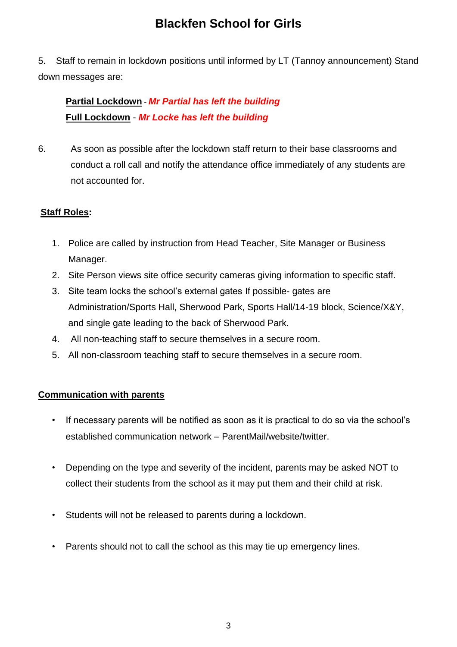5. Staff to remain in lockdown positions until informed by LT (Tannoy announcement) Stand down messages are:

## **Partial Lockdown** - *Mr Partial has left the building* **Full Lockdown** - *Mr Locke has left the building*

6. As soon as possible after the lockdown staff return to their base classrooms and conduct a roll call and notify the attendance office immediately of any students are not accounted for.

## **Staff Roles:**

- 1. Police are called by instruction from Head Teacher, Site Manager or Business Manager.
- 2. Site Person views site office security cameras giving information to specific staff.
- 3. Site team locks the school's external gates If possible- gates are Administration/Sports Hall, Sherwood Park, Sports Hall/14-19 block, Science/X&Y, and single gate leading to the back of Sherwood Park.
- 4. All non-teaching staff to secure themselves in a secure room.
- 5. All non-classroom teaching staff to secure themselves in a secure room.

#### **Communication with parents**

- If necessary parents will be notified as soon as it is practical to do so via the school's established communication network – ParentMail/website/twitter.
- Depending on the type and severity of the incident, parents may be asked NOT to collect their students from the school as it may put them and their child at risk.
- Students will not be released to parents during a lockdown.
- Parents should not to call the school as this may tie up emergency lines.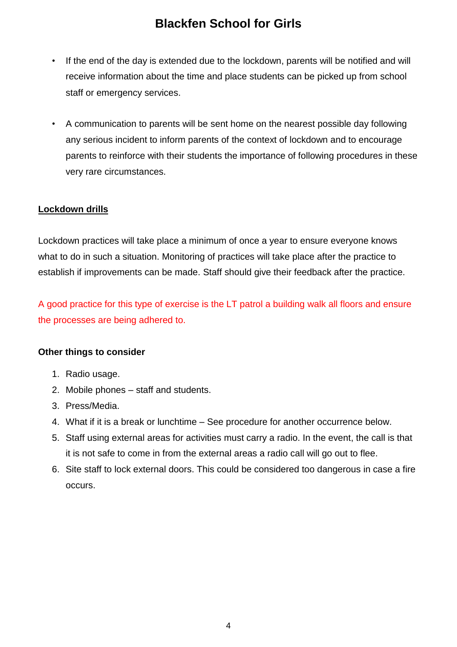- If the end of the day is extended due to the lockdown, parents will be notified and will receive information about the time and place students can be picked up from school staff or emergency services.
- A communication to parents will be sent home on the nearest possible day following any serious incident to inform parents of the context of lockdown and to encourage parents to reinforce with their students the importance of following procedures in these very rare circumstances.

#### **Lockdown drills**

Lockdown practices will take place a minimum of once a year to ensure everyone knows what to do in such a situation. Monitoring of practices will take place after the practice to establish if improvements can be made. Staff should give their feedback after the practice.

A good practice for this type of exercise is the LT patrol a building walk all floors and ensure the processes are being adhered to.

#### **Other things to consider**

- 1. Radio usage.
- 2. Mobile phones staff and students.
- 3. Press/Media.
- 4. What if it is a break or lunchtime See procedure for another occurrence below.
- 5. Staff using external areas for activities must carry a radio. In the event, the call is that it is not safe to come in from the external areas a radio call will go out to flee.
- 6. Site staff to lock external doors. This could be considered too dangerous in case a fire occurs.